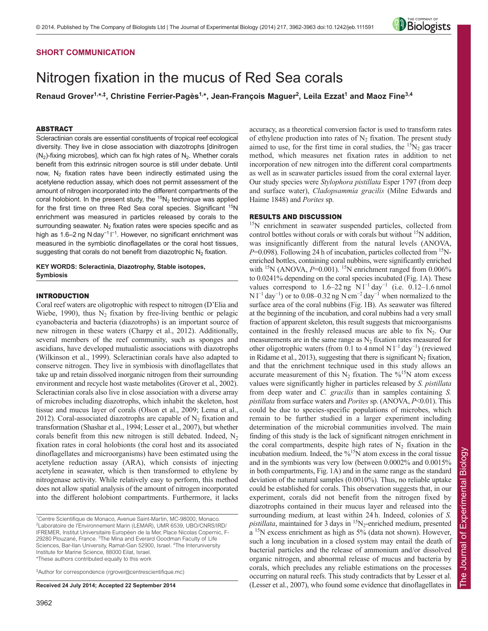## **SHORT COMMUNICATION**

# Nitrogen fixation in the mucus of Red Sea corals

**Renaud Grover1,\*,‡, Christine Ferrier-Pagès1,\*, Jean-François Maguer2 , Leila Ezzat1 and Maoz Fine3,4**

## ABSTRACT

Scleractinian corals are essential constituents of tropical reef ecological diversity. They live in close association with diazotrophs [dinitrogen  $(N<sub>2</sub>)$ -fixing microbes], which can fix high rates of  $N<sub>2</sub>$ . Whether corals benefit from this extrinsic nitrogen source is still under debate. Until now,  $N_2$  fixation rates have been indirectly estimated using the acetylene reduction assay, which does not permit assessment of the amount of nitrogen incorporated into the different compartments of the coral holobiont. In the present study, the  ${}^{15}N_2$  technique was applied for the first time on three Red Sea coral species. Significant <sup>15</sup>N enrichment was measured in particles released by corals to the surrounding seawater.  $N_2$  fixation rates were species specific and as high as 1.6–2 ng N day<sup>-1</sup> I<sup>-1</sup>. However, no significant enrichment was measured in the symbiotic dinoflagellates or the coral host tissues, suggesting that corals do not benefit from diazotrophic  $N_2$  fixation.

**KEY WORDS: Scleractinia, Diazotrophy, Stable isotopes, Symbiosis**

## INTRODUCTION

Coral reef waters are oligotrophic with respect to nitrogen (D'Elia and Wiebe, 1990), thus  $N_2$  fixation by free-living benthic or pelagic cyanobacteria and bacteria (diazotrophs) is an important source of new nitrogen in these waters (Charpy et al., 2012). Additionally, several members of the reef community, such as sponges and ascidians, have developed mutualistic associations with diazotrophs (Wilkinson et al., 1999). Scleractinian corals have also adapted to conserve nitrogen. They live in symbiosis with dinoflagellates that take up and retain dissolved inorganic nitrogen from their surrounding environment and recycle host waste metabolites (Grover et al., 2002). Scleractinian corals also live in close association with a diverse array of microbes including diazotrophs, which inhabit the skeleton, host tissue and mucus layer of corals (Olson et al., 2009; Lema et al., 2012). Coral-associated diazotrophs are capable of  $N_2$  fixation and transformation (Shashar et al., 1994; Lesser et al., 2007), but whether corals benefit from this new nitrogen is still debated. Indeed,  $N_2$ fixation rates in coral holobionts (the coral host and its associated dinoflagellates and microorganisms) have been estimated using the acetylene reduction assay (ARA), which consists of injecting acetylene in seawater, which is then transformed to ethylene by nitrogenase activity. While relatively easy to perform, this method does not allow spatial analysis of the amount of nitrogen incorporated into the different holobiont compartments. Furthermore, it lacks

‡ Author for correspondence (rgrover@centrescientifique.mc)

**Received 24 July 2014; Accepted 22 September 2014**

accuracy, as a theoretical conversion factor is used to transform rates of ethylene production into rates of  $N_2$  fixation. The present study aimed to use, for the first time in coral studies, the  $15N<sub>2</sub>$  gas tracer method, which measures net fixation rates in addition to net incorporation of new nitrogen into the different coral compartments as well as in seawater particles issued from the coral external layer. Our study species were *Stylophora pistillata* Esper 1797 (from deep and surface water), *Cladopsammia gracilis* (Milne Edwards and Haime 1848) and *Porites* sp.

## RESULTS AND DISCUSSION

<sup>15</sup>N enrichment in seawater suspended particles, collected from control bottles without corals or with corals but without 15N addition, was insignificantly different from the natural levels (ANOVA, *P*=0.098). Following 24 h of incubation, particles collected from <sup>15</sup>Nenriched bottles, containing coral nubbins, were significantly enriched with <sup>15</sup>N (ANOVA, *P*=0.001). <sup>15</sup>N enrichment ranged from 0.006% to 0.0241% depending on the coral species incubated (Fig. 1A). These values correspond to  $1.6-22$  ng N l<sup>-1</sup> day<sup>-1</sup> (i.e. 0.12–1.6 nmol N l<sup>-1</sup> day<sup>-1</sup>) or to 0.08–0.32 ng N cm<sup>-2</sup> day<sup>-1</sup> when normalized to the surface area of the coral nubbins (Fig. 1B). As seawater was filtered at the beginning of the incubation, and coral nubbins had a very small fraction of apparent skeleton, this result suggests that microorganisms contained in the freshly released mucus are able to fix  $N_2$ . Our measurements are in the same range as  $N_2$  fixation rates measured for other oligotrophic waters (from 0.1 to 4 nmol N  $I^{-1}$  day<sup>-1</sup>) (reviewed in Ridame et al., 2013), suggesting that there is significant  $N_2$  fixation, and that the enrichment technique used in this study allows an accurate measurement of this  $N_2$  fixation. The %<sup>15</sup>N atom excess values were significantly higher in particles released by *S. pistillata* from deep water and *C. gracilis* than in samples containing *S. pistillata* from surface waters and *Porites* sp. (ANOVA, *P*<0.01). This could be due to species-specific populations of microbes, which remain to be further studied in a larger experiment including determination of the microbial communities involved. The main finding of this study is the lack of significant nitrogen enrichment in the coral compartments, despite high rates of  $N_2$  fixation in the incubation medium. Indeed, the  $\frac{9}{6}$ <sup>15</sup>N atom excess in the coral tissue and in the symbionts was very low (between 0.0002% and 0.0015% in both compartments, Fig. 1A) and in the same range as the standard deviation of the natural samples (0.0010%). Thus, no reliable uptake could be established for corals. This observation suggests that, in our experiment, corals did not benefit from the nitrogen fixed by diazotrophs contained in their mucus layer and released into the surrounding medium, at least within 24 h. Indeed, colonies of *S. pistillata*, maintained for 3 days in  ${}^{15}N_2$ -enriched medium, presented a 15N excess enrichment as high as 5% (data not shown). However, such a long incubation in a closed system may entail the death of bacterial particles and the release of ammonium and/or dissolved organic nitrogen, and abnormal release of mucus and bacteria by corals, which precludes any reliable estimations on the processes occurring on natural reefs. This study contradicts that by Lesser et al. (Lesser et al., 2007), who found some evidence that dinoflagellates in



<sup>1</sup> Centre Scientifique de Monaco, Avenue Saint-Martin, MC-98000, Monaco. 2 Laboratoire de l'Environnement Marin (LEMAR), UMR 6539, UBO/CNRS/IRD/ IFREMER, Institut Universitaire Européen de la Mer, Place Nicolas Copernic, F-29280 Plouzané, France. <sup>3</sup>The Mina and Everard Goodman Faculty of Life Sciences, Bar-Ilan University, Ramat-Gan 52900, Israel. <sup>4</sup>The Interuniversity Institute for Marine Science, 88000 Eilat, Israel. \*These authors contributed equally to this work